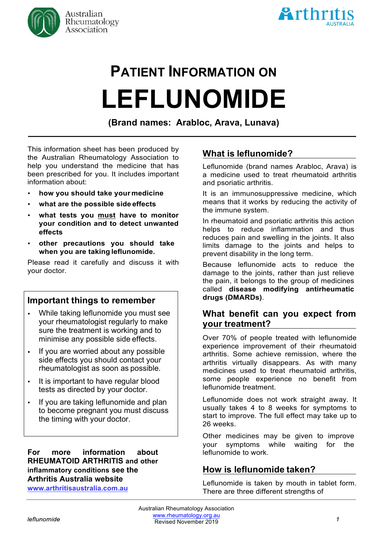



# **PATIENT INFORMATION ON LEFLUNOMIDE**

**(Brand names: Arabloc, Arava, Lunava)**

This information sheet has been produced by the Australian Rheumatology Association to help you understand the medicine that has been prescribed for you. It includes important information about:

- **how you should take your medicine**
- **what are the possible side effects**
- **what tests you must have to monitor your condition and to detect unwanted effects**
- **other precautions you should take when you are taking leflunomide.**

Please read it carefully and discuss it with your doctor.

# **Important things to remember**

- While taking leflunomide you must see  $\bullet$ your rheumatologist regularly to make sure the treatment is working and to minimise any possible side effects.
- If you are worried about any possible  $\bullet$ side effects you should contact your rheumatologist as soon as possible.
- It is important to have regular blood  $\bullet$ tests as directed by your doctor.
- If you are taking leflunomide and plan  $\bullet$ to become pregnant you must discuss the timing with your doctor.

**For more information about RHEUMATOID ARTHRITIS and other inflammatory conditions see the Arthritis Australia website**

**www.arthritisaustralia.com.au**

# **What is leflunomide?**

Leflunomide (brand names Arabloc, Arava) is a medicine used to treat rheumatoid arthritis and psoriatic arthritis.

It is an immunosuppressive medicine, which means that it works by reducing the activity of the immune system.

In rheumatoid and psoriatic arthritis this action helps to reduce inflammation and thus reduces pain and swelling in the joints. It also limits damage to the joints and helps to prevent disability in the long term.

Because leflunomide acts to reduce the damage to the joints, rather than just relieve the pain, it belongs to the group of medicines called **disease modifying antirheumatic drugs (DMARDs)**.

## **What benefit can you expect from your treatment?**

Over 70% of people treated with leflunomide experience improvement of their rheumatoid arthritis. Some achieve remission, where the arthritis virtually disappears. As with many medicines used to treat rheumatoid arthritis, some people experience no benefit from leflunomide treatment.

Leflunomide does not work straight away. It usually takes 4 to 8 weeks for symptoms to start to improve. The full effect may take up to 26 weeks.

Other medicines may be given to improve your symptoms while waiting for the leflunomide to work.

# **How is leflunomide taken?**

Leflunomide is taken by mouth in tablet form. There are three different strengths of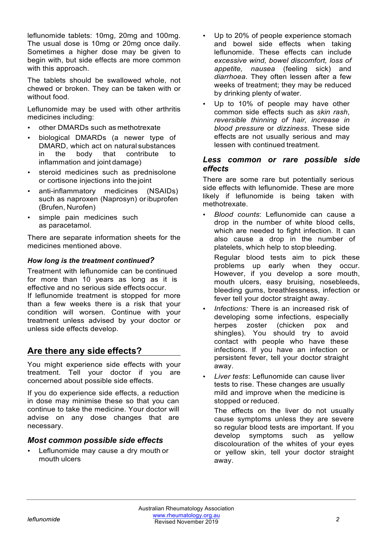leflunomide tablets: 10mg, 20mg and 100mg. The usual dose is 10mg or 20mg once daily. Sometimes a higher dose may be given to begin with, but side effects are more common with this approach.

The tablets should be swallowed whole, not chewed or broken. They can be taken with or without food

Leflunomide may be used with other arthritis medicines including:

- other DMARDs such as methotrexate
- biological DMARDs (a newer type of DMARD, which act on natural substances in the body that contribute to inflammation and joint damage)
- steroid medicines such as prednisolone or cortisone injections into the joint
- anti-inflammatory medicines (NSAIDs) such as naproxen (Naprosyn) or ibuprofen (Brufen, Nurofen)
- simple pain medicines such as paracetamol.

There are separate information sheets for the medicines mentioned above.

#### *How long is the treatment continued?*

Treatment with leflunomide can be continued for more than 10 years as long as it is effective and no serious side effects occur. If leflunomide treatment is stopped for more than a few weeks there is a risk that your condition will worsen. Continue with your treatment unless advised by your doctor or unless side effects develop.

# **Are there any side effects?**

You might experience side effects with your treatment. Tell your doctor if you are concerned about possible side effects.

If you do experience side effects, a reduction in dose may minimise these so that you can continue to take the medicine. Your doctor will advise on any dose changes that are necessary.

#### *Most common possible side effects*

• Leflunomide may cause a dry mouth or mouth ulcers

- Up to 20% of people experience stomach and bowel side effects when taking leflunomide. These effects can include *excessive wind, bowel discomfort, loss of appetite, nausea* (feeling sick) and *diarrhoea*. They often lessen after a few weeks of treatment; they may be reduced by drinking plenty of water.
- Up to 10% of people may have other common side effects such as *skin rash*, *reversible thinning of hair, increase in blood pressure* or *dizziness*. These side effects are not usually serious and may lessen with continued treatment.

#### *Less common or rare possible side effects*

There are some rare but potentially serious side effects with leflunomide. These are more likely if leflunomide is being taken with methotrexate.

- *Blood counts*: Leflunomide can cause a drop in the number of white blood cells, which are needed to fight infection. It can also cause a drop in the number of platelets, which help to stop bleeding.
	- Regular blood tests aim to pick these problems up early when they occur. However, if you develop a sore mouth, mouth ulcers, easy bruising, nosebleeds, bleeding gums, breathlessness, infection or fever tell your doctor straight away.
- *Infections:* There is an increased risk of developing some infections, especially herpes zoster (chicken pox and shingles). You should try to avoid contact with people who have these infections. If you have an infection or persistent fever, tell your doctor straight away.
- *Liver tests*: Leflunomide can cause liver tests to rise. These changes are usually mild and improve when the medicine is stopped or reduced.

The effects on the liver do not usually cause symptoms unless they are severe so regular blood tests are important. If you develop symptoms such as yellow discolouration of the whites of your eyes or yellow skin, tell your doctor straight away.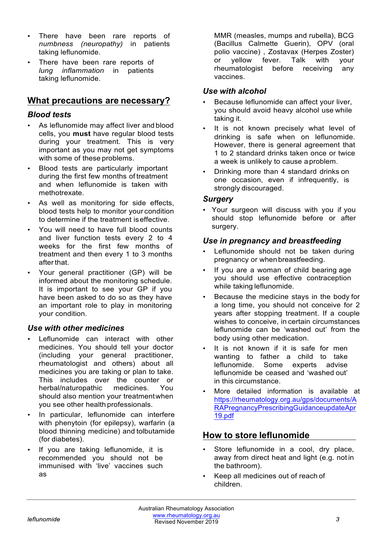- There have been rare reports of *numbness (neuropathy)* in patients taking leflunomide.
- There have been rare reports of *lung inflammation* in patients taking leflunomide.

# **What precautions are necessary?**

## *Blood tests*

- As leflunomide may affect liver and blood cells, you **must** have regular blood tests during your treatment. This is very important as you may not get symptoms with some of these problems.
- Blood tests are particularly important during the first few months of treatment and when leflunomide is taken with methotrexate.
- As well as monitoring for side effects, blood tests help to monitor your condition to determine if the treatment iseffective.
- You will need to have full blood counts and liver function tests every 2 to 4 weeks for the first few months of treatment and then every 1 to 3 months afterthat.
- Your general practitioner (GP) will be informed about the monitoring schedule. It is important to see your GP if you have been asked to do so as they have an important role to play in monitoring your condition.

## *Use with other medicines*

- Leflunomide can interact with other medicines. You should tell your doctor (including your general practitioner, rheumatologist and others) about all medicines you are taking or plan to take. This includes over the counter or herbal/naturopathic medicines. You should also mention your treatmentwhen you see other health professionals.
- In particular, leflunomide can interfere with phenytoin (for epilepsy), warfarin (a blood thinning medicine) and tolbutamide (for diabetes).
- If you are taking leflunomide, it is recommended you should not be immunised with 'live' vaccines such as

MMR (measles, mumps and rubella), BCG (Bacillus Calmette Guerin), OPV (oral polio vaccine) , Zostavax (Herpes Zoster) or yellow fever. Talk with your rheumatologist before receiving any vaccines.

## *Use with alcohol*

- Because leflunomide can affect your liver, you should avoid heavy alcohol use while taking it.
- It is not known precisely what level of drinking is safe when on leflunomide. However, there is general agreement that 1 to 2 standard drinks taken once or twice a week is unlikely to cause a problem.
- Drinking more than 4 standard drinks on one occasion, even if infrequently, is strongly discouraged.

## *Surgery*

• Your surgeon will discuss with you if you should stop leflunomide before or after surgery.

## *Use in pregnancy and breastfeeding*

- Leflunomide should not be taken during pregnancy or whenbreastfeeding.
- If you are a woman of child bearing age you should use effective contraception while taking leflunomide.
- Because the medicine stays in the body for a long time, you should not conceive for 2 years after stopping treatment. If a couple wishes to conceive, in certain circumstances leflunomide can be 'washed out' from the body using other medication.
- It is not known if it is safe for men wanting to father a child to take leflunomide. Some experts advise leflunomide be ceased and 'washed out' in this circumstance.
- More detailed information is available at https://rheumatology.org.au/gps/documents/A RAPregnancyPrescribingGuidanceupdateApr 19.pdf

# **How to store leflunomide**

- Store leflunomide in a cool, dry place, away from direct heat and light (e.g. not in the bathroom).
- Keep all medicines out of reach of children.